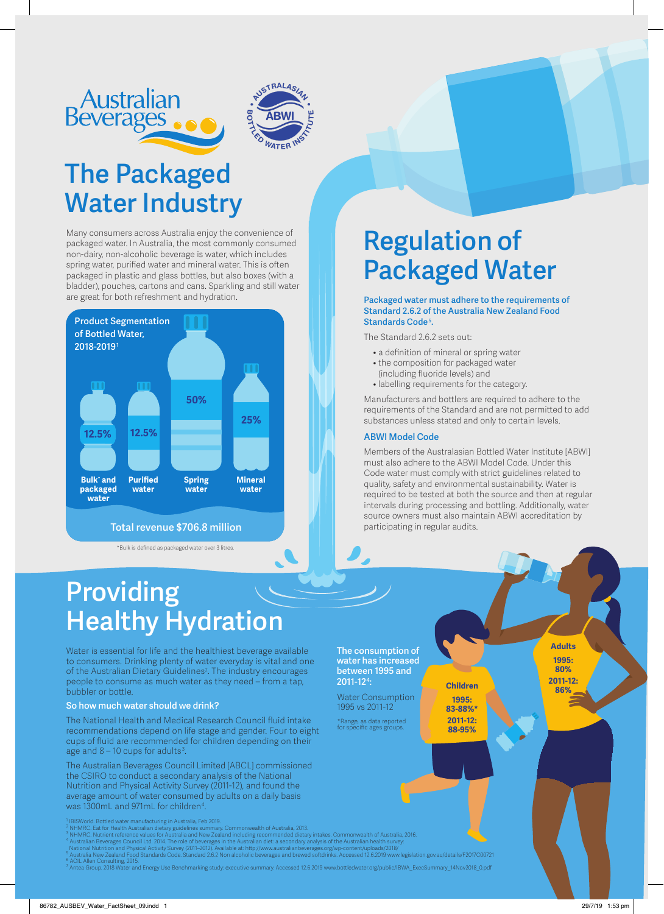



## **The Packaged Water Industry**

Many consumers across Australia enjoy the convenience of packaged water. In Australia, the most commonly consumed non-dairy, non-alcoholic beverage is water, which includes spring water, purified water and mineral water. This is often packaged in plastic and glass bottles, but also boxes (with a bladder), pouches, cartons and cans. Sparkling and still water are great for both refreshment and hydration.



#### **Total revenue \$706.8 million**

\*Bulk is defined as packaged water over 3 litres.

# **Regulation of Packaged Water**

#### **Packaged water must adhere to the requirements of Standard 2.6.2 of the Australia New Zealand Food Standards Code 5 .**

The Standard 2.6.2 sets out:

- a definition of mineral or spring water
- the composition for packaged water (including fluoride levels) and
- labelling requirements for the category.

Manufacturers and bottlers are required to adhere to the requirements of the Standard and are not permitted to add substances unless stated and only to certain levels.

#### **ABWI Model Code**

**The consumption of water has increased between 1995 and**

Water Consumption 1995 vs 2011-12 \*Range, as data reported for specific ages groups.

**2011-12<sup>4</sup> :**

Members of the Australasian Bottled Water Institute [ABWI] must also adhere to the ABWI Model Code. Under this Code water must comply with strict guidelines related to quality, safety and environmental sustainability. Water is required to be tested at both the source and then at regular intervals during processing and bottling. Additionally, water source owners must also maintain ABWI accreditation by participating in regular audits.

> **86% Children 1995: 83-88%\* 2011-12: 88-95%**

## **Providing Healthy Hydration**

Water is essential for life and the healthiest beverage available to consumers. Drinking plenty of water everyday is vital and one of the Australian Dietary Guidelines<sup>2</sup>. The industry encourages people to consume as much water as they need – from a tap, bubbler or bottle.

#### **So how much water should we drink?**

The National Health and Medical Research Council fluid intake recommendations depend on life stage and gender. Four to eight cups of fluid are recommended for children depending on their age and  $8 - 10$  cups for adults<sup>3</sup>.

The Australian Beverages Council Limited [ABCL] commissioned the CSIRO to conduct a secondary analysis of the National Nutrition and Physical Activity Survey (2011-12), and found the average amount of water consumed by adults on a daily basis was 1300mL and 971mL for children $^{\rm 4}$ .

orld. Bottled water manufacturing in Australia, Feb 2019.

- $^2$  NHMRC. Eat for Health Australian dietary guidelines summary. Commonwealth of Australia, 2013.
- $^3$  NHMRC. Nutrient reference values for Australia and New Zealand including recommended dietary intakes. Commonwealth of Australia, 2016.
- <sup>4</sup> Australian Beverages Council Ltd. 2014. The role of beverages in the Australian diet: a secondary analysis of the Australian health survey: National Nutrition and Physical Activity Survey (2011–2012). Available at: http://www.australianbeverages.org/wp-content/uploads/2018/
- <sup>5</sup> Australia New Zealand Food Standards Code. Standard 2.6.2 Non alcoholic beverages and brewed softdrinks. Accessed 12.6.2019 www.legislation.gov.au/details/F2017C00721

<sup>6</sup> ACIL Allen Consulting, 2015.<br><sup>7</sup> Antea Group. 2018 Water and Energy Use Benchmarking study: executive summary. Accessed 12.6.2019 www.bottledwater.org/public/IBWA\_ExecSummary\_14Nov2018\_0.pdf

86782\_AUSBEV\_Water\_FactSheet\_09.indd 1 29/7/19 1:53 pm

**Adults 1995: 80% 2011-12:**